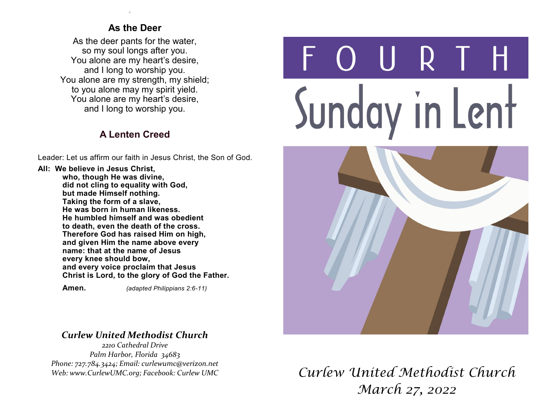#### **As the Deer**

.

As the deer pants for the water, so my soul longs after you. You alone are my heart's desire, and I long to worship you. You alone are my strength, my shield; to you alone may my spirit yield. You alone are my heart's desire, and I long to worship you.

### **A Lenten Creed**

Leader: Let us affirm our faith in Jesus Christ, the Son of God.

**All: We believe in Jesus Christ, who, though He was divine, did not cling to equality with God, but made Himself nothing. Taking the form of a slave, He was born in human likeness. He humbled himself and was obedient to death, even the death of the cross. Therefore God has raised Him on high, and given Him the name above every name: that at the name of Jesus every knee should bow, and every voice proclaim that Jesus Christ is Lord, to the glory of God the Father.**

 **Amen.** *(adapted Philippians 2:6-11)*

#### *Curlew United Methodist Church*

*2210 Cathedral Drive Palm Harbor, Florida 34683 Phone: 727.784.3424; Email: curlewumc@verizon.net Web: www.CurlewUMC.org; Facebook: Curlew UMC*

# URT Sunday in Lent



## *Curlew United Methodist Church March 27, 2022*